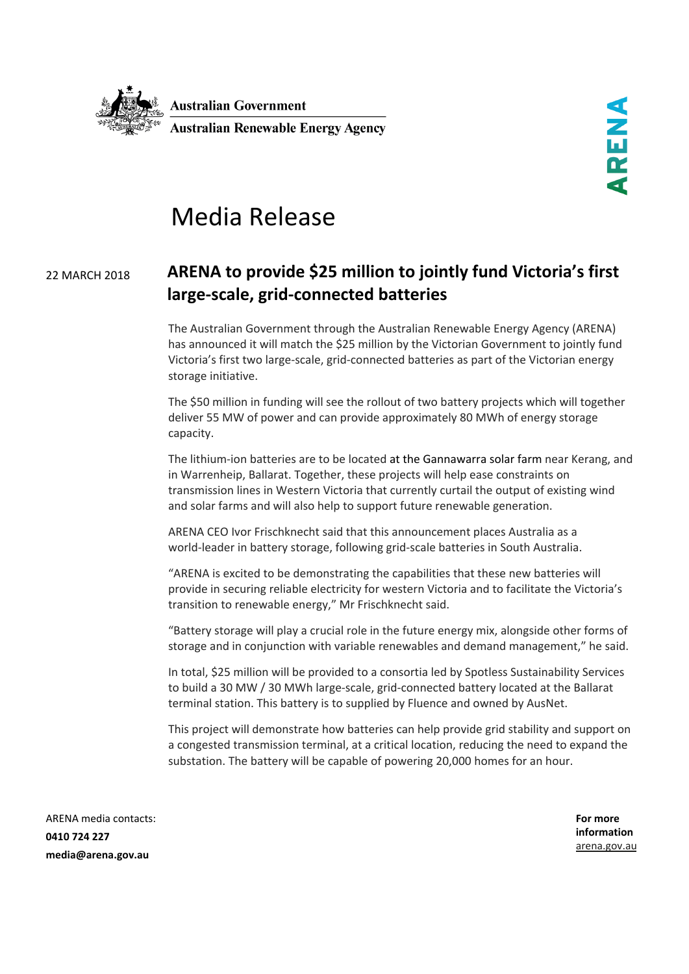

## Media Release

## <sup>22</sup> MARCH <sup>2018</sup> **ARENA to provide \$25 million to jointly fund Victoria's first large-scale, grid-connected batteries**

The Australian Government through the Australian Renewable Energy Agency (ARENA) has announced it will match the \$25 million by the Victorian Government to jointly fund Victoria's first two large-scale, grid-connected batteries as part of the Victorian energy storage initiative.

The \$50 million in funding will see the rollout of two battery projects which will together deliver 55 MW of power and can provide approximately 80 MWh of energy storage capacity.

The lithium-ion batteries are to be located at the Gannawarra solar farm near Kerang, and in Warrenheip, Ballarat. Together, these projects will help ease constraints on transmission lines in Western Victoria that currently curtail the output of existing wind and solar farms and will also help to support future renewable generation.

ARENA CEO Ivor Frischknecht said that this announcement places Australia as a world-leader in battery storage, following grid-scale batteries in South Australia.

"ARENA is excited to be demonstrating the capabilities that these new batteries will provide in securing reliable electricity for western Victoria and to facilitate the Victoria's transition to renewable energy," Mr Frischknecht said.

"Battery storage will play a crucial role in the future energy mix, alongside other forms of storage and in conjunction with variable renewables and demand management," he said.

In total, \$25 million will be provided to a consortia led by Spotless Sustainability Services to build a 30 MW / 30 MWh large-scale, grid-connected battery located at the Ballarat terminal station. This battery is to supplied by Fluence and owned by AusNet.

This project will demonstrate how batteries can help provide grid stability and support on a congested transmission terminal, at a critical location, reducing the need to expand the substation. The battery will be capable of powering 20,000 homes for an hour.

ARENA media contacts: **0410 724 227 media@arena.gov.au**

**For more information** [arena.gov.au](http://www.arena.gov.au/)